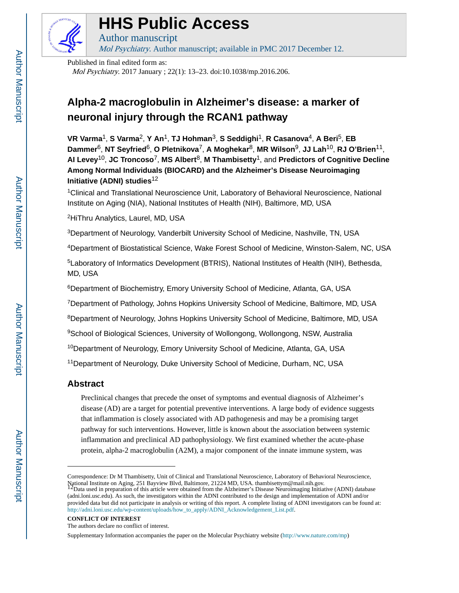

# **HHS Public Access**

Mol Psychiatry. Author manuscript; available in PMC 2017 December 12.

Published in final edited form as:

Author manuscript

Mol Psychiatry. 2017 January ; 22(1): 13–23. doi:10.1038/mp.2016.206.

## **Alpha-2 macroglobulin in Alzheimer's disease: a marker of neuronal injury through the RCAN1 pathway**

**VR Varma**1, **S Varma**2, **Y An**1, **TJ Hohman**3, **S Seddighi**1, **R Casanova**4, **A Beri**5, **EB Dammer**6, **NT Seyfried**6, **O Pletnikova**7, **A Moghekar**8, **MR Wilson**9, **JJ Lah**10, **RJ O'Brien**11, **AI Levey**10, **JC Troncoso**7, **MS Albert**8, **M Thambisetty**1, and **Predictors of Cognitive Decline Among Normal Individuals (BIOCARD) and the Alzheimer's Disease Neuroimaging Initiative (ADNI) studies**<sup>12</sup>

<sup>1</sup>Clinical and Translational Neuroscience Unit, Laboratory of Behavioral Neuroscience, National Institute on Aging (NIA), National Institutes of Health (NIH), Baltimore, MD, USA

<sup>2</sup>HiThru Analytics, Laurel, MD, USA

<sup>3</sup>Department of Neurology, Vanderbilt University School of Medicine, Nashville, TN, USA

<sup>4</sup>Department of Biostatistical Science, Wake Forest School of Medicine, Winston-Salem, NC, USA

<sup>5</sup>Laboratory of Informatics Development (BTRIS), National Institutes of Health (NIH), Bethesda, MD, USA

<sup>6</sup>Department of Biochemistry, Emory University School of Medicine, Atlanta, GA, USA

<sup>7</sup>Department of Pathology, Johns Hopkins University School of Medicine, Baltimore, MD, USA

<sup>8</sup>Department of Neurology, Johns Hopkins University School of Medicine, Baltimore, MD, USA

9School of Biological Sciences, University of Wollongong, Wollongong, NSW, Australia

<sup>10</sup>Department of Neurology, Emory University School of Medicine, Atlanta, GA, USA

<sup>11</sup>Department of Neurology, Duke University School of Medicine, Durham, NC, USA

## **Abstract**

Preclinical changes that precede the onset of symptoms and eventual diagnosis of Alzheimer's disease (AD) are a target for potential preventive interventions. A large body of evidence suggests that inflammation is closely associated with AD pathogenesis and may be a promising target pathway for such interventions. However, little is known about the association between systemic inflammation and preclinical AD pathophysiology. We first examined whether the acute-phase protein, alpha-2 macroglobulin (A2M), a major component of the innate immune system, was

#### **CONFLICT OF INTEREST**

Correspondence: Dr M Thambisetty, Unit of Clinical and Translational Neuroscience, Laboratory of Behavioral Neuroscience, National Institute on Aging, 251 Bayview Blvd, Baltimore, 21224 MD, USA. thambisettym@mail.nih.gov.<br><sup>12</sup>Data used in preparation of this article were obtained from the Alzheimer's Disease Neuroimaging Initiative (ADNI) dat

<sup>(</sup>adni.loni.usc.edu). As such, the investigators within the ADNI contributed to the design and implementation of ADNI and/or provided data but did not participate in analysis or writing of this report. A complete listing of ADNI investigators can be found at: [http://adni.loni.usc.edu/wp-content/uploads/how\\_to\\_apply/ADNI\\_Acknowledgement\\_List.pdf](http://adni.loni.usc.edu/wp-content/uploads/how_to_apply/ADNI_Acknowledgement_List.pdf).

The authors declare no conflict of interest.

Supplementary Information accompanies the paper on the Molecular Psychiatry website [\(http://www.nature.com/mp](http://www.nature.com/mp))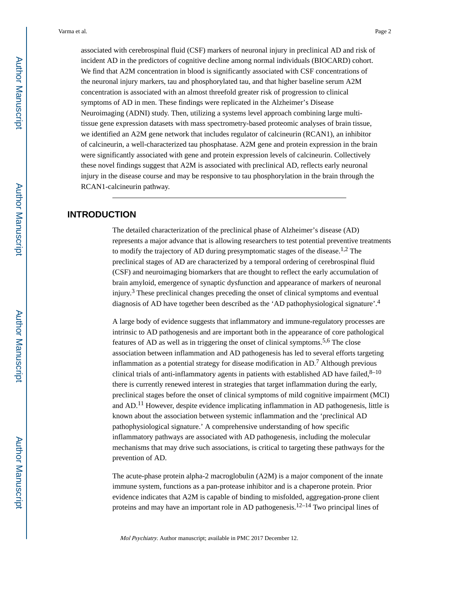associated with cerebrospinal fluid (CSF) markers of neuronal injury in preclinical AD and risk of incident AD in the predictors of cognitive decline among normal individuals (BIOCARD) cohort. We find that A2M concentration in blood is significantly associated with CSF concentrations of the neuronal injury markers, tau and phosphorylated tau, and that higher baseline serum A2M concentration is associated with an almost threefold greater risk of progression to clinical symptoms of AD in men. These findings were replicated in the Alzheimer's Disease Neuroimaging (ADNI) study. Then, utilizing a systems level approach combining large multitissue gene expression datasets with mass spectrometry-based proteomic analyses of brain tissue, we identified an A2M gene network that includes regulator of calcineurin (RCAN1), an inhibitor of calcineurin, a well-characterized tau phosphatase. A2M gene and protein expression in the brain were significantly associated with gene and protein expression levels of calcineurin. Collectively these novel findings suggest that A2M is associated with preclinical AD, reflects early neuronal injury in the disease course and may be responsive to tau phosphorylation in the brain through the RCAN1-calcineurin pathway.

## **INTRODUCTION**

The detailed characterization of the preclinical phase of Alzheimer's disease (AD) represents a major advance that is allowing researchers to test potential preventive treatments to modify the trajectory of AD during presymptomatic stages of the disease.<sup>1,2</sup> The preclinical stages of AD are characterized by a temporal ordering of cerebrospinal fluid (CSF) and neuroimaging biomarkers that are thought to reflect the early accumulation of brain amyloid, emergence of synaptic dysfunction and appearance of markers of neuronal injury.<sup>3</sup> These preclinical changes preceding the onset of clinical symptoms and eventual diagnosis of AD have together been described as the 'AD pathophysiological signature'.<sup>4</sup>

A large body of evidence suggests that inflammatory and immune-regulatory processes are intrinsic to AD pathogenesis and are important both in the appearance of core pathological features of AD as well as in triggering the onset of clinical symptoms.<sup>5,6</sup> The close association between inflammation and AD pathogenesis has led to several efforts targeting inflammation as a potential strategy for disease modification in  $AD$ <sup>7</sup> Although previous clinical trials of anti-inflammatory agents in patients with established AD have failed, $8-10$ there is currently renewed interest in strategies that target inflammation during the early, preclinical stages before the onset of clinical symptoms of mild cognitive impairment (MCI) and AD.11 However, despite evidence implicating inflammation in AD pathogenesis, little is known about the association between systemic inflammation and the 'preclinical AD pathophysiological signature.' A comprehensive understanding of how specific inflammatory pathways are associated with AD pathogenesis, including the molecular mechanisms that may drive such associations, is critical to targeting these pathways for the prevention of AD.

The acute-phase protein alpha-2 macroglobulin (A2M) is a major component of the innate immune system, functions as a pan-protease inhibitor and is a chaperone protein. Prior evidence indicates that A2M is capable of binding to misfolded, aggregation-prone client proteins and may have an important role in AD pathogenesis.<sup>12–14</sup> Two principal lines of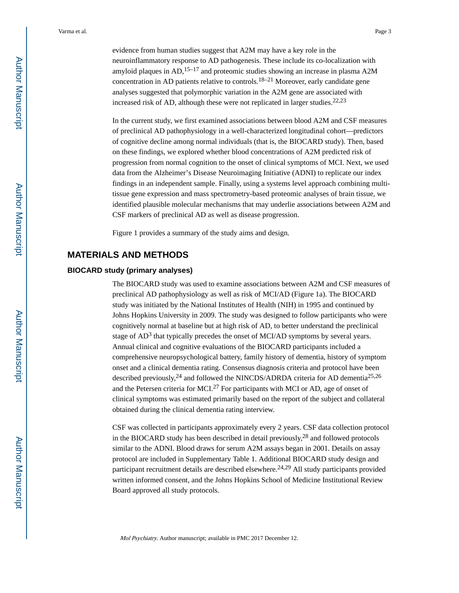evidence from human studies suggest that A2M may have a key role in the neuroinflammatory response to AD pathogenesis. These include its co-localization with amyloid plaques in  $AD$ ,  $15-17$  and proteomic studies showing an increase in plasma A2M concentration in AD patients relative to controls.<sup>18–21</sup> Moreover, early candidate gene analyses suggested that polymorphic variation in the A2M gene are associated with increased risk of AD, although these were not replicated in larger studies.<sup>22,23</sup>

In the current study, we first examined associations between blood A2M and CSF measures of preclinical AD pathophysiology in a well-characterized longitudinal cohort—predictors of cognitive decline among normal individuals (that is, the BIOCARD study). Then, based on these findings, we explored whether blood concentrations of A2M predicted risk of progression from normal cognition to the onset of clinical symptoms of MCI. Next, we used data from the Alzheimer's Disease Neuroimaging Initiative (ADNI) to replicate our index findings in an independent sample. Finally, using a systems level approach combining multitissue gene expression and mass spectrometry-based proteomic analyses of brain tissue, we identified plausible molecular mechanisms that may underlie associations between A2M and CSF markers of preclinical AD as well as disease progression.

Figure 1 provides a summary of the study aims and design.

## **MATERIALS AND METHODS**

#### **BIOCARD study (primary analyses)**

The BIOCARD study was used to examine associations between A2M and CSF measures of preclinical AD pathophysiology as well as risk of MCI/AD (Figure 1a). The BIOCARD study was initiated by the National Institutes of Health (NIH) in 1995 and continued by Johns Hopkins University in 2009. The study was designed to follow participants who were cognitively normal at baseline but at high risk of AD, to better understand the preclinical stage of AD<sup>3</sup> that typically precedes the onset of MCI/AD symptoms by several years. Annual clinical and cognitive evaluations of the BIOCARD participants included a comprehensive neuropsychological battery, family history of dementia, history of symptom onset and a clinical dementia rating. Consensus diagnosis criteria and protocol have been described previously,  $^{24}$  and followed the NINCDS/ADRDA criteria for AD dementia $^{25,26}$ and the Petersen criteria for MCI.<sup>27</sup> For participants with MCI or AD, age of onset of clinical symptoms was estimated primarily based on the report of the subject and collateral obtained during the clinical dementia rating interview.

CSF was collected in participants approximately every 2 years. CSF data collection protocol in the BIOCARD study has been described in detail previously,  $28$  and followed protocols similar to the ADNI. Blood draws for serum A2M assays began in 2001. Details on assay protocol are included in Supplementary Table 1. Additional BIOCARD study design and participant recruitment details are described elsewhere.<sup>24,29</sup> All study participants provided written informed consent, and the Johns Hopkins School of Medicine Institutional Review Board approved all study protocols.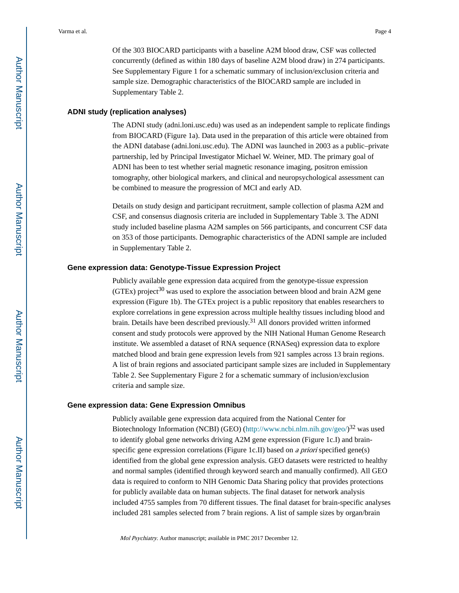Of the 303 BIOCARD participants with a baseline A2M blood draw, CSF was collected concurrently (defined as within 180 days of baseline A2M blood draw) in 274 participants. See Supplementary Figure 1 for a schematic summary of inclusion/exclusion criteria and sample size. Demographic characteristics of the BIOCARD sample are included in Supplementary Table 2.

#### **ADNI study (replication analyses)**

The ADNI study (adni.loni.usc.edu) was used as an independent sample to replicate findings from BIOCARD (Figure 1a). Data used in the preparation of this article were obtained from the ADNI database (adni.loni.usc.edu). The ADNI was launched in 2003 as a public–private partnership, led by Principal Investigator Michael W. Weiner, MD. The primary goal of ADNI has been to test whether serial magnetic resonance imaging, positron emission tomography, other biological markers, and clinical and neuropsychological assessment can be combined to measure the progression of MCI and early AD.

Details on study design and participant recruitment, sample collection of plasma A2M and CSF, and consensus diagnosis criteria are included in Supplementary Table 3. The ADNI study included baseline plasma A2M samples on 566 participants, and concurrent CSF data on 353 of those participants. Demographic characteristics of the ADNI sample are included in Supplementary Table 2.

#### **Gene expression data: Genotype-Tissue Expression Project**

Publicly available gene expression data acquired from the genotype-tissue expression (GTEx) project<sup>30</sup> was used to explore the association between blood and brain A2M gene expression (Figure 1b). The GTEx project is a public repository that enables researchers to explore correlations in gene expression across multiple healthy tissues including blood and brain. Details have been described previously.31 All donors provided written informed consent and study protocols were approved by the NIH National Human Genome Research institute. We assembled a dataset of RNA sequence (RNASeq) expression data to explore matched blood and brain gene expression levels from 921 samples across 13 brain regions. A list of brain regions and associated participant sample sizes are included in Supplementary Table 2. See Supplementary Figure 2 for a schematic summary of inclusion/exclusion criteria and sample size.

#### **Gene expression data: Gene Expression Omnibus**

Publicly available gene expression data acquired from the National Center for Biotechnology Information (NCBI) (GEO) (<http://www.ncbi.nlm.nih.gov/geo/>)<sup>32</sup> was used to identify global gene networks driving A2M gene expression (Figure 1c.I) and brainspecific gene expression correlations (Figure 1c.II) based on *a priori* specified gene(s) identified from the global gene expression analysis. GEO datasets were restricted to healthy and normal samples (identified through keyword search and manually confirmed). All GEO data is required to conform to NIH Genomic Data Sharing policy that provides protections for publicly available data on human subjects. The final dataset for network analysis included 4755 samples from 70 different tissues. The final dataset for brain-specific analyses included 281 samples selected from 7 brain regions. A list of sample sizes by organ/brain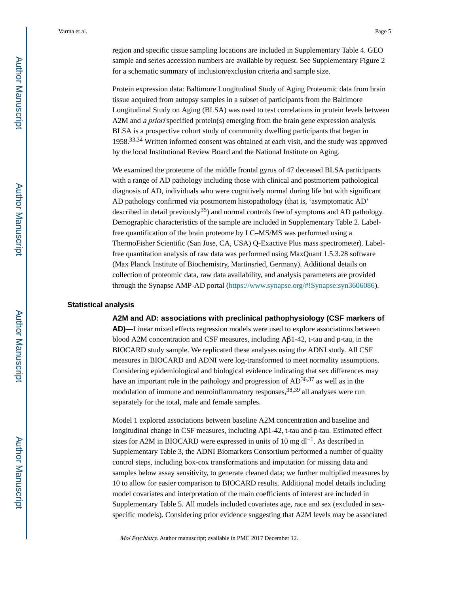region and specific tissue sampling locations are included in Supplementary Table 4. GEO sample and series accession numbers are available by request. See Supplementary Figure 2 for a schematic summary of inclusion/exclusion criteria and sample size.

Protein expression data: Baltimore Longitudinal Study of Aging Proteomic data from brain tissue acquired from autopsy samples in a subset of participants from the Baltimore Longitudinal Study on Aging (BLSA) was used to test correlations in protein levels between A2M and *a priori* specified protein(s) emerging from the brain gene expression analysis. BLSA is a prospective cohort study of community dwelling participants that began in 1958.33,34 Written informed consent was obtained at each visit, and the study was approved by the local Institutional Review Board and the National Institute on Aging.

We examined the proteome of the middle frontal gyrus of 47 deceased BLSA participants with a range of AD pathology including those with clinical and postmortem pathological diagnosis of AD, individuals who were cognitively normal during life but with significant AD pathology confirmed via postmortem histopathology (that is, 'asymptomatic AD' described in detail previously<sup>35</sup>) and normal controls free of symptoms and AD pathology. Demographic characteristics of the sample are included in Supplementary Table 2. Labelfree quantification of the brain proteome by LC–MS/MS was performed using a ThermoFisher Scientific (San Jose, CA, USA) Q-Exactive Plus mass spectrometer). Labelfree quantitation analysis of raw data was performed using MaxQuant 1.5.3.28 software (Max Planck Institute of Biochemistry, Martinsried, Germany). Additional details on collection of proteomic data, raw data availability, and analysis parameters are provided through the Synapse AMP-AD portal [\(https://www.synapse.org/#!Synapse:syn3606086\)](https://www.synapse.org/#!Synapse:syn3606086).

#### **Statistical analysis**

#### **A2M and AD: associations with preclinical pathophysiology (CSF markers of**

**AD)—**Linear mixed effects regression models were used to explore associations between blood A2M concentration and CSF measures, including Aβ1-42, t-tau and p-tau, in the BIOCARD study sample. We replicated these analyses using the ADNI study. All CSF measures in BIOCARD and ADNI were log-transformed to meet normality assumptions. Considering epidemiological and biological evidence indicating that sex differences may have an important role in the pathology and progression of  $AD^{36,37}$  as well as in the modulation of immune and neuroinflammatory responses,<sup>38,39</sup> all analyses were run separately for the total, male and female samples.

Model 1 explored associations between baseline A2M concentration and baseline and longitudinal change in CSF measures, including Aβ1-42, t-tau and p-tau. Estimated effect sizes for A2M in BIOCARD were expressed in units of 10 mg dl<sup>-1</sup>. As described in Supplementary Table 3, the ADNI Biomarkers Consortium performed a number of quality control steps, including box-cox transformations and imputation for missing data and samples below assay sensitivity, to generate cleaned data; we further multiplied measures by 10 to allow for easier comparison to BIOCARD results. Additional model details including model covariates and interpretation of the main coefficients of interest are included in Supplementary Table 5. All models included covariates age, race and sex (excluded in sexspecific models). Considering prior evidence suggesting that A2M levels may be associated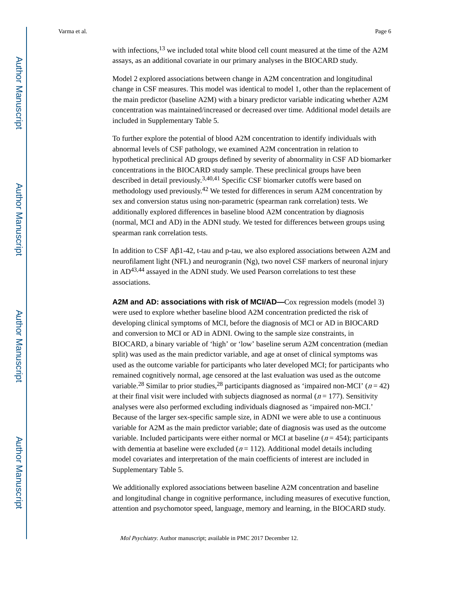with infections,<sup>13</sup> we included total white blood cell count measured at the time of the A2M assays, as an additional covariate in our primary analyses in the BIOCARD study.

Model 2 explored associations between change in A2M concentration and longitudinal change in CSF measures. This model was identical to model 1, other than the replacement of the main predictor (baseline A2M) with a binary predictor variable indicating whether A2M concentration was maintained/increased or decreased over time. Additional model details are included in Supplementary Table 5.

To further explore the potential of blood A2M concentration to identify individuals with abnormal levels of CSF pathology, we examined A2M concentration in relation to hypothetical preclinical AD groups defined by severity of abnormality in CSF AD biomarker concentrations in the BIOCARD study sample. These preclinical groups have been described in detail previously.3,40,41 Specific CSF biomarker cutoffs were based on methodology used previously.42 We tested for differences in serum A2M concentration by sex and conversion status using non-parametric (spearman rank correlation) tests. We additionally explored differences in baseline blood A2M concentration by diagnosis (normal, MCI and AD) in the ADNI study. We tested for differences between groups using spearman rank correlation tests.

In addition to CSF Aβ1-42, t-tau and p-tau, we also explored associations between A2M and neurofilament light (NFL) and neurogranin (Ng), two novel CSF markers of neuronal injury in AD43,44 assayed in the ADNI study. We used Pearson correlations to test these associations.

**A2M and AD: associations with risk of MCI/AD—**Cox regression models (model 3) were used to explore whether baseline blood A2M concentration predicted the risk of developing clinical symptoms of MCI, before the diagnosis of MCI or AD in BIOCARD and conversion to MCI or AD in ADNI. Owing to the sample size constraints, in BIOCARD, a binary variable of 'high' or 'low' baseline serum A2M concentration (median split) was used as the main predictor variable, and age at onset of clinical symptoms was used as the outcome variable for participants who later developed MCI; for participants who remained cognitively normal, age censored at the last evaluation was used as the outcome variable.<sup>28</sup> Similar to prior studies,<sup>28</sup> participants diagnosed as 'impaired non-MCI' ( $n = 42$ ) at their final visit were included with subjects diagnosed as normal ( $n = 177$ ). Sensitivity analyses were also performed excluding individuals diagnosed as 'impaired non-MCI.' Because of the larger sex-specific sample size, in ADNI we were able to use a continuous variable for A2M as the main predictor variable; date of diagnosis was used as the outcome variable. Included participants were either normal or MCI at baseline  $(n = 454)$ ; participants with dementia at baseline were excluded ( $n = 112$ ). Additional model details including model covariates and interpretation of the main coefficients of interest are included in Supplementary Table 5.

We additionally explored associations between baseline A2M concentration and baseline and longitudinal change in cognitive performance, including measures of executive function, attention and psychomotor speed, language, memory and learning, in the BIOCARD study.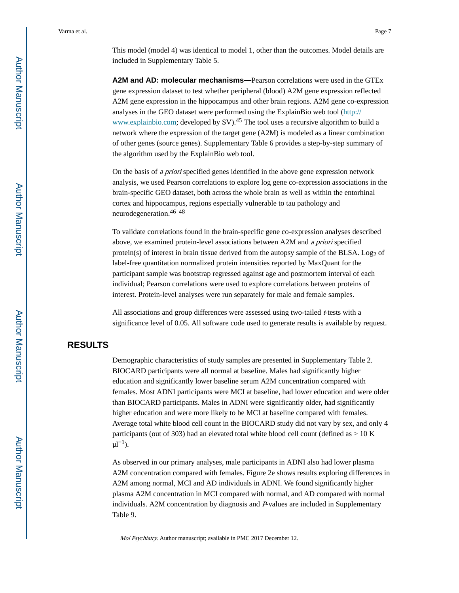This model (model 4) was identical to model 1, other than the outcomes. Model details are included in Supplementary Table 5.

**A2M and AD: molecular mechanisms—**Pearson correlations were used in the GTEx gene expression dataset to test whether peripheral (blood) A2M gene expression reflected A2M gene expression in the hippocampus and other brain regions. A2M gene co-expression analyses in the GEO dataset were performed using the ExplainBio web tool [\(http://](http://www.explainbio.com) [www.explainbio.com](http://www.explainbio.com); developed by SV).<sup>45</sup> The tool uses a recursive algorithm to build a network where the expression of the target gene (A2M) is modeled as a linear combination of other genes (source genes). Supplementary Table 6 provides a step-by-step summary of the algorithm used by the ExplainBio web tool.

On the basis of a priori specified genes identified in the above gene expression network analysis, we used Pearson correlations to explore log gene co-expression associations in the brain-specific GEO dataset, both across the whole brain as well as within the entorhinal cortex and hippocampus, regions especially vulnerable to tau pathology and neurodegeneration.46–48

To validate correlations found in the brain-specific gene co-expression analyses described above, we examined protein-level associations between A2M and a priori specified protein(s) of interest in brain tissue derived from the autopsy sample of the BLSA. Log<sub>2</sub> of label-free quantitation normalized protein intensities reported by MaxQuant for the participant sample was bootstrap regressed against age and postmortem interval of each individual; Pearson correlations were used to explore correlations between proteins of interest. Protein-level analyses were run separately for male and female samples.

All associations and group differences were assessed using two-tailed  $t$ -tests with a significance level of 0.05. All software code used to generate results is available by request.

## **RESULTS**

Demographic characteristics of study samples are presented in Supplementary Table 2. BIOCARD participants were all normal at baseline. Males had significantly higher education and significantly lower baseline serum A2M concentration compared with females. Most ADNI participants were MCI at baseline, had lower education and were older than BIOCARD participants. Males in ADNI were significantly older, had significantly higher education and were more likely to be MCI at baseline compared with females. Average total white blood cell count in the BIOCARD study did not vary by sex, and only 4 participants (out of 303) had an elevated total white blood cell count (defined as  $> 10$  K  $\mu l^{-1}$ ).

As observed in our primary analyses, male participants in ADNI also had lower plasma A2M concentration compared with females. Figure 2e shows results exploring differences in A2M among normal, MCI and AD individuals in ADNI. We found significantly higher plasma A2M concentration in MCI compared with normal, and AD compared with normal individuals. A2M concentration by diagnosis and P-values are included in Supplementary Table 9.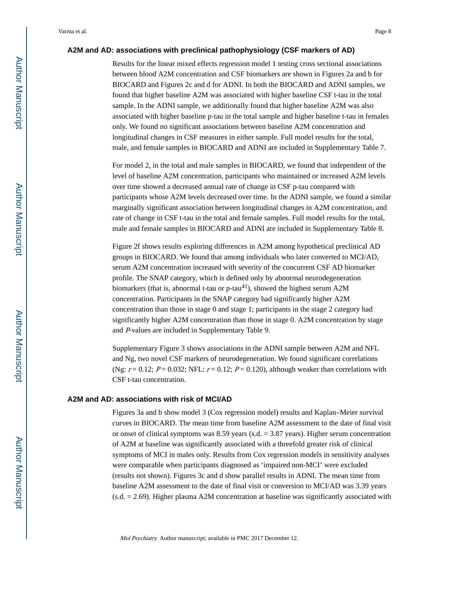## **A2M and AD: associations with preclinical pathophysiology (CSF markers of AD)**

Results for the linear mixed effects regression model 1 testing cross sectional associations between blood A2M concentration and CSF biomarkers are shown in Figures 2a and b for BIOCARD and Figures 2c and d for ADNI. In both the BIOCARD and ADNI samples, we found that higher baseline A2M was associated with higher baseline CSF t-tau in the total sample. In the ADNI sample, we additionally found that higher baseline A2M was also associated with higher baseline p-tau in the total sample and higher baseline t-tau in females only. We found no significant associations between baseline A2M concentration and longitudinal changes in CSF measures in either sample. Full model results for the total, male, and female samples in BIOCARD and ADNI are included in Supplementary Table 7.

For model 2, in the total and male samples in BIOCARD, we found that independent of the level of baseline A2M concentration, participants who maintained or increased A2M levels over time showed a decreased annual rate of change in CSF p-tau compared with participants whose A2M levels decreased over time. In the ADNI sample, we found a similar marginally significant association between longitudinal changes in A2M concentration, and rate of change in CSF t-tau in the total and female samples. Full model results for the total, male and female samples in BIOCARD and ADNI are included in Supplementary Table 8.

Figure 2f shows results exploring differences in A2M among hypothetical preclinical AD groups in BIOCARD. We found that among individuals who later converted to MCI/AD, serum A2M concentration increased with severity of the concurrent CSF AD biomarker profile. The SNAP category, which is defined only by abnormal neurodegeneration biomarkers (that is, abnormal t-tau or  $p$ -tau<sup>41</sup>), showed the highest serum A2M concentration. Participants in the SNAP category had significantly higher A2M concentration than those in stage 0 and stage 1; participants in the stage 2 category had significantly higher A2M concentration than those in stage 0. A2M concentration by stage and P-values are included in Supplementary Table 9.

Supplementary Figure 3 shows associations in the ADNI sample between A2M and NFL and Ng, two novel CSF markers of neurodegeneration. We found significant correlations (Ng:  $r = 0.12$ ;  $P = 0.032$ ; NFL:  $r = 0.12$ ;  $P = 0.120$ ), although weaker than correlations with CSF t-tau concentration.

#### **A2M and AD: associations with risk of MCI/AD**

Figures 3a and b show model 3 (Cox regression model) results and Kaplan–Meier survival curves in BIOCARD. The mean time from baseline A2M assessment to the date of final visit or onset of clinical symptoms was 8.59 years (s.d.  $=$  3.87 years). Higher serum concentration of A2M at baseline was significantly associated with a threefold greater risk of clinical symptoms of MCI in males only. Results from Cox regression models in sensitivity analyses were comparable when participants diagnosed as 'impaired non-MCI' were excluded (results not shown). Figures 3c and d show parallel results in ADNI. The mean time from baseline A2M assessment to the date of final visit or conversion to MCI/AD was 3.39 years (s.d. = 2.69). Higher plasma A2M concentration at baseline was significantly associated with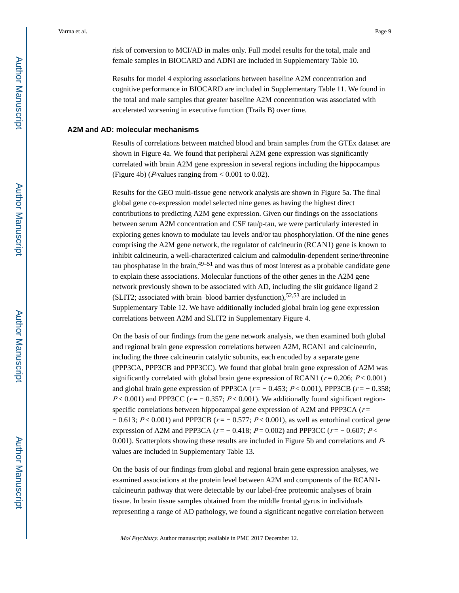risk of conversion to MCI/AD in males only. Full model results for the total, male and female samples in BIOCARD and ADNI are included in Supplementary Table 10.

Results for model 4 exploring associations between baseline A2M concentration and cognitive performance in BIOCARD are included in Supplementary Table 11. We found in the total and male samples that greater baseline A2M concentration was associated with accelerated worsening in executive function (Trails B) over time.

#### **A2M and AD: molecular mechanisms**

Results of correlations between matched blood and brain samples from the GTEx dataset are shown in Figure 4a. We found that peripheral A2M gene expression was significantly correlated with brain A2M gene expression in several regions including the hippocampus (Figure 4b) (*P*-values ranging from  $< 0.001$  to 0.02).

Results for the GEO multi-tissue gene network analysis are shown in Figure 5a. The final global gene co-expression model selected nine genes as having the highest direct contributions to predicting A2M gene expression. Given our findings on the associations between serum A2M concentration and CSF tau/p-tau, we were particularly interested in exploring genes known to modulate tau levels and/or tau phosphorylation. Of the nine genes comprising the A2M gene network, the regulator of calcineurin (RCAN1) gene is known to inhibit calcineurin, a well-characterized calcium and calmodulin-dependent serine/threonine tau phosphatase in the brain,  $49-51$  and was thus of most interest as a probable candidate gene to explain these associations. Molecular functions of the other genes in the A2M gene network previously shown to be associated with AD, including the slit guidance ligand 2 (SLIT2; associated with brain–blood barrier dysfunction), $52,53$  are included in Supplementary Table 12. We have additionally included global brain log gene expression correlations between A2M and SLIT2 in Supplementary Figure 4.

On the basis of our findings from the gene network analysis, we then examined both global and regional brain gene expression correlations between A2M, RCAN1 and calcineurin, including the three calcineurin catalytic subunits, each encoded by a separate gene (PPP3CA, PPP3CB and PPP3CC). We found that global brain gene expression of A2M was significantly correlated with global brain gene expression of RCAN1 ( $r = 0.206$ ;  $P < 0.001$ ) and global brain gene expression of PPP3CA  $(r = -0.453; P < 0.001)$ , PPP3CB  $(r = -0.358;$  $P < 0.001$ ) and PPP3CC ( $r = -0.357$ ;  $P < 0.001$ ). We additionally found significant regionspecific correlations between hippocampal gene expression of A2M and PPP3CA ( $r =$  $-0.613$ ;  $P < 0.001$ ) and PPP3CB ( $r = -0.577$ ;  $P < 0.001$ ), as well as entorhinal cortical gene expression of A2M and PPP3CA ( $r = -0.418$ ;  $P = 0.002$ ) and PPP3CC ( $r = -0.607$ ;  $P <$ 0.001). Scatterplots showing these results are included in Figure 5b and correlations and Pvalues are included in Supplementary Table 13.

On the basis of our findings from global and regional brain gene expression analyses, we examined associations at the protein level between A2M and components of the RCAN1 calcineurin pathway that were detectable by our label-free proteomic analyses of brain tissue. In brain tissue samples obtained from the middle frontal gyrus in individuals representing a range of AD pathology, we found a significant negative correlation between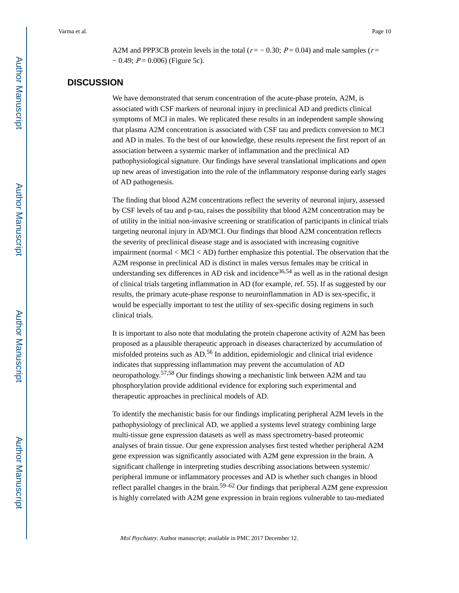A2M and PPP3CB protein levels in the total ( $r = -0.30$ ;  $P = 0.04$ ) and male samples ( $r =$  $-0.49$ ;  $P = 0.006$ ) (Figure 5c).

## **DISCUSSION**

We have demonstrated that serum concentration of the acute-phase protein, A2M, is associated with CSF markers of neuronal injury in preclinical AD and predicts clinical symptoms of MCI in males. We replicated these results in an independent sample showing that plasma A2M concentration is associated with CSF tau and predicts conversion to MCI and AD in males. To the best of our knowledge, these results represent the first report of an association between a systemic marker of inflammation and the preclinical AD pathophysiological signature. Our findings have several translational implications and open up new areas of investigation into the role of the inflammatory response during early stages of AD pathogenesis.

The finding that blood A2M concentrations reflect the severity of neuronal injury, assessed by CSF levels of tau and p-tau, raises the possibility that blood A2M concentration may be of utility in the initial non-invasive screening or stratification of participants in clinical trials targeting neuronal injury in AD/MCI. Our findings that blood A2M concentration reflects the severity of preclinical disease stage and is associated with increasing cognitive impairment (normal < MCI < AD) further emphasize this potential. The observation that the A2M response in preclinical AD is distinct in males versus females may be critical in understanding sex differences in AD risk and incidence  $36,54$  as well as in the rational design of clinical trials targeting inflammation in AD (for example, ref. 55). If as suggested by our results, the primary acute-phase response to neuroinflammation in AD is sex-specific, it would be especially important to test the utility of sex-specific dosing regimens in such clinical trials.

It is important to also note that modulating the protein chaperone activity of A2M has been proposed as a plausible therapeutic approach in diseases characterized by accumulation of misfolded proteins such as AD.56 In addition, epidemiologic and clinical trial evidence indicates that suppressing inflammation may prevent the accumulation of AD neuropathology.57,58 Our findings showing a mechanistic link between A2M and tau phosphorylation provide additional evidence for exploring such experimental and therapeutic approaches in preclinical models of AD.

To identify the mechanistic basis for our findings implicating peripheral A2M levels in the pathophysiology of preclinical AD, we applied a systems level strategy combining large multi-tissue gene expression datasets as well as mass spectrometry-based proteomic analyses of brain tissue. Our gene expression analyses first tested whether peripheral A2M gene expression was significantly associated with A2M gene expression in the brain. A significant challenge in interpreting studies describing associations between systemic/ peripheral immune or inflammatory processes and AD is whether such changes in blood reflect parallel changes in the brain.<sup>59–62</sup> Our findings that peripheral A2M gene expression is highly correlated with A2M gene expression in brain regions vulnerable to tau-mediated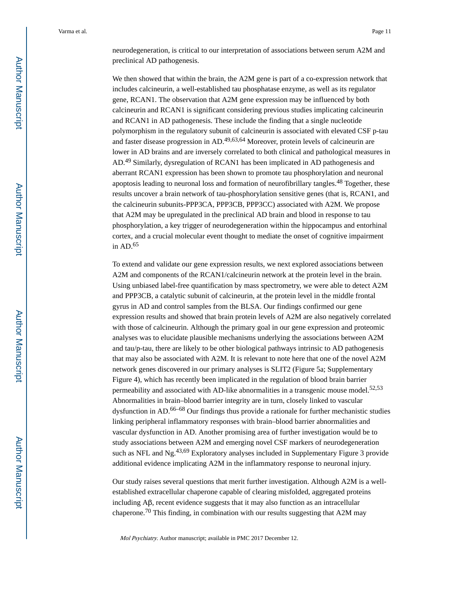neurodegeneration, is critical to our interpretation of associations between serum A2M and preclinical AD pathogenesis.

We then showed that within the brain, the A2M gene is part of a co-expression network that includes calcineurin, a well-established tau phosphatase enzyme, as well as its regulator gene, RCAN1. The observation that A2M gene expression may be influenced by both calcineurin and RCAN1 is significant considering previous studies implicating calcineurin and RCAN1 in AD pathogenesis. These include the finding that a single nucleotide polymorphism in the regulatory subunit of calcineurin is associated with elevated CSF p-tau and faster disease progression in AD.49,63,64 Moreover, protein levels of calcineurin are lower in AD brains and are inversely correlated to both clinical and pathological measures in AD.49 Similarly, dysregulation of RCAN1 has been implicated in AD pathogenesis and aberrant RCAN1 expression has been shown to promote tau phosphorylation and neuronal apoptosis leading to neuronal loss and formation of neurofibrillary tangles.48 Together, these results uncover a brain network of tau-phosphorylation sensitive genes (that is, RCAN1, and the calcineurin subunits-PPP3CA, PPP3CB, PPP3CC) associated with A2M. We propose that A2M may be upregulated in the preclinical AD brain and blood in response to tau phosphorylation, a key trigger of neurodegeneration within the hippocampus and entorhinal cortex, and a crucial molecular event thought to mediate the onset of cognitive impairment in AD.<sup>65</sup>

To extend and validate our gene expression results, we next explored associations between A2M and components of the RCAN1/calcineurin network at the protein level in the brain. Using unbiased label-free quantification by mass spectrometry, we were able to detect A2M and PPP3CB, a catalytic subunit of calcineurin, at the protein level in the middle frontal gyrus in AD and control samples from the BLSA. Our findings confirmed our gene expression results and showed that brain protein levels of A2M are also negatively correlated with those of calcineurin. Although the primary goal in our gene expression and proteomic analyses was to elucidate plausible mechanisms underlying the associations between A2M and tau/p-tau, there are likely to be other biological pathways intrinsic to AD pathogenesis that may also be associated with A2M. It is relevant to note here that one of the novel A2M network genes discovered in our primary analyses is SLIT2 (Figure 5a; Supplementary Figure 4), which has recently been implicated in the regulation of blood brain barrier permeability and associated with AD-like abnormalities in a transgenic mouse model.<sup>52,53</sup> Abnormalities in brain–blood barrier integrity are in turn, closely linked to vascular dysfunction in AD. $66-68$  Our findings thus provide a rationale for further mechanistic studies linking peripheral inflammatory responses with brain–blood barrier abnormalities and vascular dysfunction in AD. Another promising area of further investigation would be to study associations between A2M and emerging novel CSF markers of neurodegeneration such as NFL and Ng.<sup>43,69</sup> Exploratory analyses included in Supplementary Figure 3 provide additional evidence implicating A2M in the inflammatory response to neuronal injury.

Our study raises several questions that merit further investigation. Although A2M is a wellestablished extracellular chaperone capable of clearing misfolded, aggregated proteins including Aβ, recent evidence suggests that it may also function as an intracellular chaperone.<sup>70</sup> This finding, in combination with our results suggesting that A2M may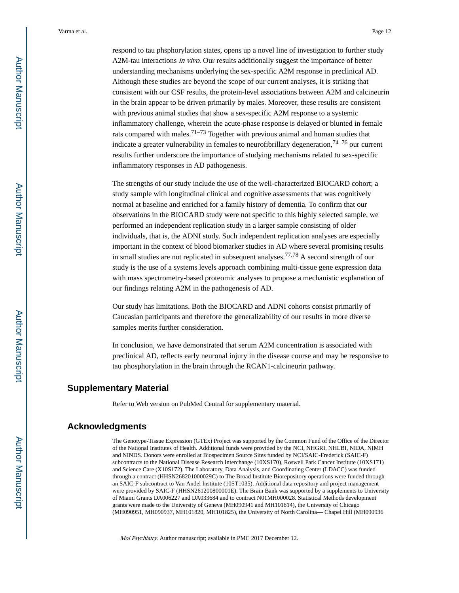respond to tau phsphorylation states, opens up a novel line of investigation to further study A2M-tau interactions *in vivo*. Our results additionally suggest the importance of better understanding mechanisms underlying the sex-specific A2M response in preclinical AD. Although these studies are beyond the scope of our current analyses, it is striking that consistent with our CSF results, the protein-level associations between A2M and calcineurin in the brain appear to be driven primarily by males. Moreover, these results are consistent with previous animal studies that show a sex-specific A2M response to a systemic inflammatory challenge, wherein the acute-phase response is delayed or blunted in female rats compared with males.<sup>71–73</sup> Together with previous animal and human studies that indicate a greater vulnerability in females to neurofibrillary degeneration,  $74-76$  our current results further underscore the importance of studying mechanisms related to sex-specific inflammatory responses in AD pathogenesis.

The strengths of our study include the use of the well-characterized BIOCARD cohort; a study sample with longitudinal clinical and cognitive assessments that was cognitively normal at baseline and enriched for a family history of dementia. To confirm that our observations in the BIOCARD study were not specific to this highly selected sample, we performed an independent replication study in a larger sample consisting of older individuals, that is, the ADNI study. Such independent replication analyses are especially important in the context of blood biomarker studies in AD where several promising results in small studies are not replicated in subsequent analyses.<sup>77,78</sup> A second strength of our study is the use of a systems levels approach combining multi-tissue gene expression data with mass spectrometry-based proteomic analyses to propose a mechanistic explanation of our findings relating A2M in the pathogenesis of AD.

Our study has limitations. Both the BIOCARD and ADNI cohorts consist primarily of Caucasian participants and therefore the generalizability of our results in more diverse samples merits further consideration.

In conclusion, we have demonstrated that serum A2M concentration is associated with preclinical AD, reflects early neuronal injury in the disease course and may be responsive to tau phosphorylation in the brain through the RCAN1-calcineurin pathway.

## **Supplementary Material**

Refer to Web version on PubMed Central for supplementary material.

## **Acknowledgments**

The Genotype-Tissue Expression (GTEx) Project was supported by the Common Fund of the Office of the Director of the National Institutes of Health. Additional funds were provided by the NCI, NHGRI, NHLBI, NIDA, NIMH and NINDS. Donors were enrolled at Biospecimen Source Sites funded by NCI/SAIC-Frederick (SAIC-F) subcontracts to the National Disease Research Interchange (10XS170), Roswell Park Cancer Institute (10XS171) and Science Care (X10S172). The Laboratory, Data Analysis, and Coordinating Center (LDACC) was funded through a contract (HHSN268201000029C) to The Broad Institute Biorepository operations were funded through an SAIC-F subcontract to Van Andel Institute (10ST1035). Additional data repository and project management were provided by SAIC-F (HHSN261200800001E). The Brain Bank was supported by a supplements to University of Miami Grants DA006227 and DA033684 and to contract N01MH000028. Statistical Methods development grants were made to the University of Geneva (MH090941 and MH101814), the University of Chicago (MH090951, MH090937, MH101820, MH101825), the University of North Carolina— Chapel Hill (MH090936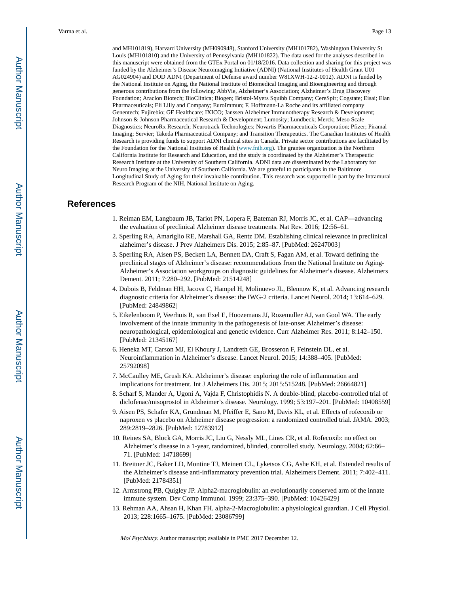and MH101819), Harvard University (MH090948), Stanford University (MH101782), Washington University St Louis (MH101810) and the University of Pennsylvania (MH101822). The data used for the analyses described in this manuscript were obtained from the GTEx Portal on 01/18/2016. Data collection and sharing for this project was funded by the Alzheimer's Disease Neuroimaging Initiative (ADNI) (National Institutes of Health Grant U01 AG024904) and DOD ADNI (Department of Defense award number W81XWH-12-2-0012). ADNI is funded by the National Institute on Aging, the National Institute of Biomedical Imaging and Bioengineering and through generous contributions from the following: AbbVie, Alzheimer's Association; Alzheimer's Drug Discovery Foundation; Araclon Biotech; BioClinica; Biogen; Bristol-Myers Squibb Company; CereSpir; Cogstate; Eisai; Elan Pharmaceuticals; Eli Lilly and Company; EuroImmun; F. Hoffmann-La Roche and its affiliated company Genentech; Fujirebio; GE Healthcare; IXICO; Janssen Alzheimer Immunotherapy Research & Development; Johnson & Johnson Pharmaceutical Research & Development; Lumosity; Lundbeck; Merck; Meso Scale Diagnostics; NeuroRx Research; Neurotrack Technologies; Novartis Pharmaceuticals Corporation; Pfizer; Piramal Imaging; Servier; Takeda Pharmaceutical Company; and Transition Therapeutics. The Canadian Institutes of Health Research is providing funds to support ADNI clinical sites in Canada. Private sector contributions are facilitated by the Foundation for the National Institutes of Health (www.fnih.org). The grantee organization is the Northern California Institute for Research and Education, and the study is coordinated by the Alzheimer's Therapeutic Research Institute at the University of Southern California. ADNI data are disseminated by the Laboratory for Neuro Imaging at the University of Southern California. We are grateful to participants in the Baltimore Longitudinal Study of Aging for their invaluable contribution. This research was supported in part by the Intramural Research Program of the NIH, National Institute on Aging.

#### **References**

- 1. Reiman EM, Langbaum JB, Tariot PN, Lopera F, Bateman RJ, Morris JC, et al. CAP—advancing the evaluation of preclinical Alzheimer disease treatments. Nat Rev. 2016; 12:56–61.
- 2. Sperling RA, Amariglio RE, Marshall GA, Rentz DM. Establishing clinical relevance in preclinical alzheimer's disease. J Prev Alzheimers Dis. 2015; 2:85–87. [PubMed: 26247003]
- 3. Sperling RA, Aisen PS, Beckett LA, Bennett DA, Craft S, Fagan AM, et al. Toward defining the preclinical stages of Alzheimer's disease: recommendations from the National Institute on Aging-Alzheimer's Association workgroups on diagnostic guidelines for Alzheimer's disease. Alzheimers Dement. 2011; 7:280–292. [PubMed: 21514248]
- 4. Dubois B, Feldman HH, Jacova C, Hampel H, Molinuevo JL, Blennow K, et al. Advancing research diagnostic criteria for Alzheimer's disease: the IWG-2 criteria. Lancet Neurol. 2014; 13:614–629. [PubMed: 24849862]
- 5. Eikelenboom P, Veerhuis R, van Exel E, Hoozemans JJ, Rozemuller AJ, van Gool WA. The early involvement of the innate immunity in the pathogenesis of late-onset Alzheimer's disease: neuropathological, epidemiological and genetic evidence. Curr Alzheimer Res. 2011; 8:142–150. [PubMed: 21345167]
- 6. Heneka MT, Carson MJ, El Khoury J, Landreth GE, Brosseron F, Feinstein DL, et al. Neuroinflammation in Alzheimer's disease. Lancet Neurol. 2015; 14:388–405. [PubMed: 25792098]
- 7. McCaulley ME, Grush KA. Alzheimer's disease: exploring the role of inflammation and implications for treatment. Int J Alzheimers Dis. 2015; 2015:515248. [PubMed: 26664821]
- 8. Scharf S, Mander A, Ugoni A, Vajda F, Christophidis N. A double-blind, placebo-controlled trial of diclofenac/misoprostol in Alzheimer's disease. Neurology. 1999; 53:197–201. [PubMed: 10408559]
- 9. Aisen PS, Schafer KA, Grundman M, Pfeiffer E, Sano M, Davis KL, et al. Effects of rofecoxib or naproxen vs placebo on Alzheimer disease progression: a randomized controlled trial. JAMA. 2003; 289:2819–2826. [PubMed: 12783912]
- 10. Reines SA, Block GA, Morris JC, Liu G, Nessly ML, Lines CR, et al. Rofecoxib: no effect on Alzheimer's disease in a 1-year, randomized, blinded, controlled study. Neurology. 2004; 62:66– 71. [PubMed: 14718699]
- 11. Breitner JC, Baker LD, Montine TJ, Meinert CL, Lyketsos CG, Ashe KH, et al. Extended results of the Alzheimer's disease anti-inflammatory prevention trial. Alzheimers Dement. 2011; 7:402–411. [PubMed: 21784351]
- 12. Armstrong PB, Quigley JP. Alpha2-macroglobulin: an evolutionarily conserved arm of the innate immune system. Dev Comp Immunol. 1999; 23:375–390. [PubMed: 10426429]
- 13. Rehman AA, Ahsan H, Khan FH. alpha-2-Macroglobulin: a physiological guardian. J Cell Physiol. 2013; 228:1665–1675. [PubMed: 23086799]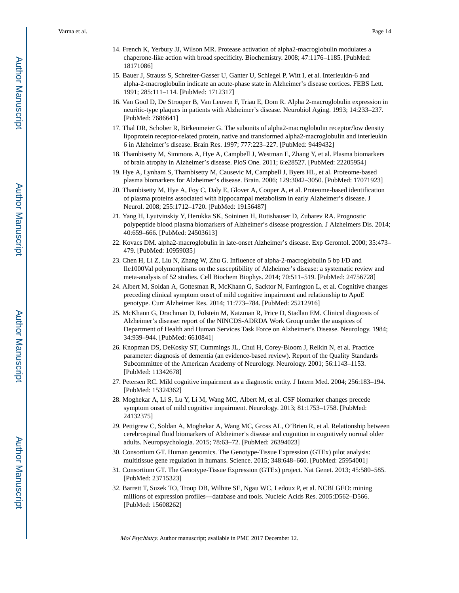- 14. French K, Yerbury JJ, Wilson MR. Protease activation of alpha2-macroglobulin modulates a chaperone-like action with broad specificity. Biochemistry. 2008; 47:1176–1185. [PubMed: 18171086]
- 15. Bauer J, Strauss S, Schreiter-Gasser U, Ganter U, Schlegel P, Witt I, et al. Interleukin-6 and alpha-2-macroglobulin indicate an acute-phase state in Alzheimer's disease cortices. FEBS Lett. 1991; 285:111–114. [PubMed: 1712317]
- 16. Van Gool D, De Strooper B, Van Leuven F, Triau E, Dom R. Alpha 2-macroglobulin expression in neuritic-type plaques in patients with Alzheimer's disease. Neurobiol Aging. 1993; 14:233–237. [PubMed: 7686641]
- 17. Thal DR, Schober R, Birkenmeier G. The subunits of alpha2-macroglobulin receptor/low density lipoprotein receptor-related protein, native and transformed alpha2-macroglobulin and interleukin 6 in Alzheimer's disease. Brain Res. 1997; 777:223–227. [PubMed: 9449432]
- 18. Thambisetty M, Simmons A, Hye A, Campbell J, Westman E, Zhang Y, et al. Plasma biomarkers of brain atrophy in Alzheimer's disease. PloS One. 2011; 6:e28527. [PubMed: 22205954]
- 19. Hye A, Lynham S, Thambisetty M, Causevic M, Campbell J, Byers HL, et al. Proteome-based plasma biomarkers for Alzheimer's disease. Brain. 2006; 129:3042–3050. [PubMed: 17071923]
- 20. Thambisetty M, Hye A, Foy C, Daly E, Glover A, Cooper A, et al. Proteome-based identification of plasma proteins associated with hippocampal metabolism in early Alzheimer's disease. J Neurol. 2008; 255:1712–1720. [PubMed: 19156487]
- 21. Yang H, Lyutvinskiy Y, Herukka SK, Soininen H, Rutishauser D, Zubarev RA. Prognostic polypeptide blood plasma biomarkers of Alzheimer's disease progression. J Alzheimers Dis. 2014; 40:659–666. [PubMed: 24503613]
- 22. Kovacs DM. alpha2-macroglobulin in late-onset Alzheimer's disease. Exp Gerontol. 2000; 35:473– 479. [PubMed: 10959035]
- 23. Chen H, Li Z, Liu N, Zhang W, Zhu G. Influence of alpha-2-macroglobulin 5 bp I/D and Ile1000Val polymorphisms on the susceptibility of Alzheimer's disease: a systematic review and meta-analysis of 52 studies. Cell Biochem Biophys. 2014; 70:511–519. [PubMed: 24756728]
- 24. Albert M, Soldan A, Gottesman R, McKhann G, Sacktor N, Farrington L, et al. Cognitive changes preceding clinical symptom onset of mild cognitive impairment and relationship to ApoE genotype. Curr Alzheimer Res. 2014; 11:773–784. [PubMed: 25212916]
- 25. McKhann G, Drachman D, Folstein M, Katzman R, Price D, Stadlan EM. Clinical diagnosis of Alzheimer's disease: report of the NINCDS-ADRDA Work Group under the auspices of Department of Health and Human Services Task Force on Alzheimer's Disease. Neurology. 1984; 34:939–944. [PubMed: 6610841]
- 26. Knopman DS, DeKosky ST, Cummings JL, Chui H, Corey-Bloom J, Relkin N, et al. Practice parameter: diagnosis of dementia (an evidence-based review). Report of the Quality Standards Subcommittee of the American Academy of Neurology. Neurology. 2001; 56:1143–1153. [PubMed: 11342678]
- 27. Petersen RC. Mild cognitive impairment as a diagnostic entity. J Intern Med. 2004; 256:183–194. [PubMed: 15324362]
- 28. Moghekar A, Li S, Lu Y, Li M, Wang MC, Albert M, et al. CSF biomarker changes precede symptom onset of mild cognitive impairment. Neurology. 2013; 81:1753–1758. [PubMed: 24132375]
- 29. Pettigrew C, Soldan A, Moghekar A, Wang MC, Gross AL, O'Brien R, et al. Relationship between cerebrospinal fluid biomarkers of Alzheimer's disease and cognition in cognitively normal older adults. Neuropsychologia. 2015; 78:63–72. [PubMed: 26394023]
- 30. Consortium GT. Human genomics. The Genotype-Tissue Expression (GTEx) pilot analysis: multitissue gene regulation in humans. Science. 2015; 348:648–660. [PubMed: 25954001]
- 31. Consortium GT. The Genotype-Tissue Expression (GTEx) project. Nat Genet. 2013; 45:580–585. [PubMed: 23715323]
- 32. Barrett T, Suzek TO, Troup DB, Wilhite SE, Ngau WC, Ledoux P, et al. NCBI GEO: mining millions of expression profiles—database and tools. Nucleic Acids Res. 2005:D562–D566. [PubMed: 15608262]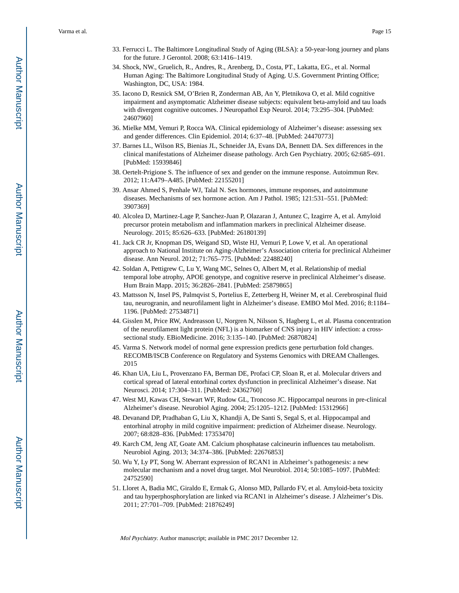- 33. Ferrucci L. The Baltimore Longitudinal Study of Aging (BLSA): a 50-year-long journey and plans for the future. J Gerontol. 2008; 63:1416–1419.
- 34. Shock, NW., Gruelich, R., Andres, R., Arenberg, D., Costa, PT., Lakatta, EG., et al. Normal Human Aging: The Baltimore Longitudinal Study of Aging. U.S. Government Printing Office; Washington, DC, USA: 1984.
- 35. Iacono D, Resnick SM, O'Brien R, Zonderman AB, An Y, Pletnikova O, et al. Mild cognitive impairment and asymptomatic Alzheimer disease subjects: equivalent beta-amyloid and tau loads with divergent cognitive outcomes. J Neuropathol Exp Neurol. 2014; 73:295–304. [PubMed: 24607960]
- 36. Mielke MM, Vemuri P, Rocca WA. Clinical epidemiology of Alzheimer's disease: assessing sex and gender differences. Clin Epidemiol. 2014; 6:37–48. [PubMed: 24470773]
- 37. Barnes LL, Wilson RS, Bienias JL, Schneider JA, Evans DA, Bennett DA. Sex differences in the clinical manifestations of Alzheimer disease pathology. Arch Gen Psychiatry. 2005; 62:685–691. [PubMed: 15939846]
- 38. Oertelt-Prigione S. The influence of sex and gender on the immune response. Autoimmun Rev. 2012; 11:A479–A485. [PubMed: 22155201]
- 39. Ansar Ahmed S, Penhale WJ, Talal N. Sex hormones, immune responses, and autoimmune diseases. Mechanisms of sex hormone action. Am J Pathol. 1985; 121:531–551. [PubMed: 3907369]
- 40. Alcolea D, Martinez-Lage P, Sanchez-Juan P, Olazaran J, Antunez C, Izagirre A, et al. Amyloid precursor protein metabolism and inflammation markers in preclinical Alzheimer disease. Neurology. 2015; 85:626–633. [PubMed: 26180139]
- 41. Jack CR Jr, Knopman DS, Weigand SD, Wiste HJ, Vemuri P, Lowe V, et al. An operational approach to National Institute on Aging-Alzheimer's Association criteria for preclinical Alzheimer disease. Ann Neurol. 2012; 71:765–775. [PubMed: 22488240]
- 42. Soldan A, Pettigrew C, Lu Y, Wang MC, Selnes O, Albert M, et al. Relationship of medial temporal lobe atrophy, APOE genotype, and cognitive reserve in preclinical Alzheimer's disease. Hum Brain Mapp. 2015; 36:2826–2841. [PubMed: 25879865]
- 43. Mattsson N, Insel PS, Palmqvist S, Portelius E, Zetterberg H, Weiner M, et al. Cerebrospinal fluid tau, neurogranin, and neurofilament light in Alzheimer's disease. EMBO Mol Med. 2016; 8:1184– 1196. [PubMed: 27534871]
- 44. Gisslen M, Price RW, Andreasson U, Norgren N, Nilsson S, Hagberg L, et al. Plasma concentration of the neurofilament light protein (NFL) is a biomarker of CNS injury in HIV infection: a crosssectional study. EBioMedicine. 2016; 3:135–140. [PubMed: 26870824]
- 45. Varma S. Network model of normal gene expression predicts gene perturbation fold changes. RECOMB/ISCB Conference on Regulatory and Systems Genomics with DREAM Challenges. 2015
- 46. Khan UA, Liu L, Provenzano FA, Berman DE, Profaci CP, Sloan R, et al. Molecular drivers and cortical spread of lateral entorhinal cortex dysfunction in preclinical Alzheimer's disease. Nat Neurosci. 2014; 17:304–311. [PubMed: 24362760]
- 47. West MJ, Kawas CH, Stewart WF, Rudow GL, Troncoso JC. Hippocampal neurons in pre-clinical Alzheimer's disease. Neurobiol Aging. 2004; 25:1205–1212. [PubMed: 15312966]
- 48. Devanand DP, Pradhaban G, Liu X, Khandji A, De Santi S, Segal S, et al. Hippocampal and entorhinal atrophy in mild cognitive impairment: prediction of Alzheimer disease. Neurology. 2007; 68:828–836. [PubMed: 17353470]
- 49. Karch CM, Jeng AT, Goate AM. Calcium phosphatase calcineurin influences tau metabolism. Neurobiol Aging. 2013; 34:374–386. [PubMed: 22676853]
- 50. Wu Y, Ly PT, Song W. Aberrant expression of RCAN1 in Alzheimer's pathogenesis: a new molecular mechanism and a novel drug target. Mol Neurobiol. 2014; 50:1085–1097. [PubMed: 24752590]
- 51. Lloret A, Badia MC, Giraldo E, Ermak G, Alonso MD, Pallardo FV, et al. Amyloid-beta toxicity and tau hyperphosphorylation are linked via RCAN1 in Alzheimer's disease. J Alzheimer's Dis. 2011; 27:701–709. [PubMed: 21876249]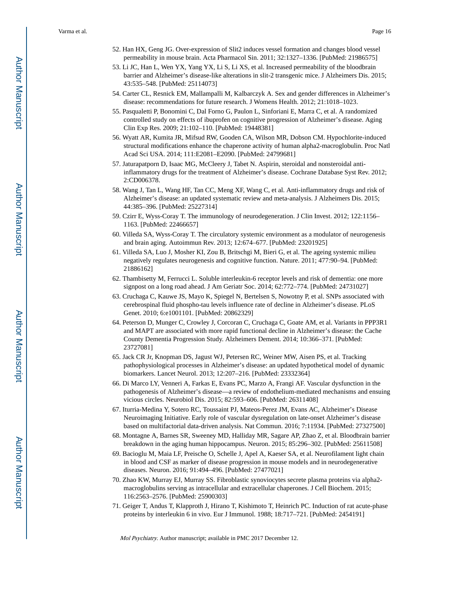- 52. Han HX, Geng JG. Over-expression of Slit2 induces vessel formation and changes blood vessel permeability in mouse brain. Acta Pharmacol Sin. 2011; 32:1327–1336. [PubMed: 21986575]
- 53. Li JC, Han L, Wen YX, Yang YX, Li S, Li XS, et al. Increased permeability of the bloodbrain barrier and Alzheimer's disease-like alterations in slit-2 transgenic mice. J Alzheimers Dis. 2015; 43:535–548. [PubMed: 25114073]
- 54. Carter CL, Resnick EM, Mallampalli M, Kalbarczyk A. Sex and gender differences in Alzheimer's disease: recommendations for future research. J Womens Health. 2012; 21:1018–1023.
- 55. Pasqualetti P, Bonomini C, Dal Forno G, Paulon L, Sinforiani E, Marra C, et al. A randomized controlled study on effects of ibuprofen on cognitive progression of Alzheimer's disease. Aging Clin Exp Res. 2009; 21:102–110. [PubMed: 19448381]
- 56. Wyatt AR, Kumita JR, Mifsud RW, Gooden CA, Wilson MR, Dobson CM. Hypochlorite-induced structural modifications enhance the chaperone activity of human alpha2-macroglobulin. Proc Natl Acad Sci USA. 2014; 111:E2081–E2090. [PubMed: 24799681]
- 57. Jaturapatporn D, Isaac MG, McCleery J, Tabet N. Aspirin, steroidal and nonsteroidal antiinflammatory drugs for the treatment of Alzheimer's disease. Cochrane Database Syst Rev. 2012; 2:CD006378.
- 58. Wang J, Tan L, Wang HF, Tan CC, Meng XF, Wang C, et al. Anti-inflammatory drugs and risk of Alzheimer's disease: an updated systematic review and meta-analysis. J Alzheimers Dis. 2015; 44:385–396. [PubMed: 25227314]
- 59. Czirr E, Wyss-Coray T. The immunology of neurodegeneration. J Clin Invest. 2012; 122:1156– 1163. [PubMed: 22466657]
- 60. Villeda SA, Wyss-Coray T. The circulatory systemic environment as a modulator of neurogenesis and brain aging. Autoimmun Rev. 2013; 12:674–677. [PubMed: 23201925]
- 61. Villeda SA, Luo J, Mosher KI, Zou B, Britschgi M, Bieri G, et al. The ageing systemic milieu negatively regulates neurogenesis and cognitive function. Nature. 2011; 477:90–94. [PubMed: 21886162]
- 62. Thambisetty M, Ferrucci L. Soluble interleukin-6 receptor levels and risk of dementia: one more signpost on a long road ahead. J Am Geriatr Soc. 2014; 62:772–774. [PubMed: 24731027]
- 63. Cruchaga C, Kauwe JS, Mayo K, Spiegel N, Bertelsen S, Nowotny P, et al. SNPs associated with cerebrospinal fluid phospho-tau levels influence rate of decline in Alzheimer's disease. PLoS Genet. 2010; 6:e1001101. [PubMed: 20862329]
- 64. Peterson D, Munger C, Crowley J, Corcoran C, Cruchaga C, Goate AM, et al. Variants in PPP3R1 and MAPT are associated with more rapid functional decline in Alzheimer's disease: the Cache County Dementia Progression Study. Alzheimers Dement. 2014; 10:366–371. [PubMed: 23727081]
- 65. Jack CR Jr, Knopman DS, Jagust WJ, Petersen RC, Weiner MW, Aisen PS, et al. Tracking pathophysiological processes in Alzheimer's disease: an updated hypothetical model of dynamic biomarkers. Lancet Neurol. 2013; 12:207–216. [PubMed: 23332364]
- 66. Di Marco LY, Venneri A, Farkas E, Evans PC, Marzo A, Frangi AF. Vascular dysfunction in the pathogenesis of Alzheimer's disease—a review of endothelium-mediated mechanisms and ensuing vicious circles. Neurobiol Dis. 2015; 82:593–606. [PubMed: 26311408]
- 67. Iturria-Medina Y, Sotero RC, Toussaint PJ, Mateos-Perez JM, Evans AC, Alzheimer's Disease Neuroimaging Initiative. Early role of vascular dysregulation on late-onset Alzheimer's disease based on multifactorial data-driven analysis. Nat Commun. 2016; 7:11934. [PubMed: 27327500]
- 68. Montagne A, Barnes SR, Sweeney MD, Halliday MR, Sagare AP, Zhao Z, et al. Bloodbrain barrier breakdown in the aging human hippocampus. Neuron. 2015; 85:296–302. [PubMed: 25611508]
- 69. Bacioglu M, Maia LF, Preische O, Schelle J, Apel A, Kaeser SA, et al. Neurofilament light chain in blood and CSF as marker of disease progression in mouse models and in neurodegenerative diseases. Neuron. 2016; 91:494–496. [PubMed: 27477021]
- 70. Zhao KW, Murray EJ, Murray SS. Fibroblastic synoviocytes secrete plasma proteins via alpha2 macroglobulins serving as intracellular and extracellular chaperones. J Cell Biochem. 2015; 116:2563–2576. [PubMed: 25900303]
- 71. Geiger T, Andus T, Klapproth J, Hirano T, Kishimoto T, Heinrich PC. Induction of rat acute-phase proteins by interleukin 6 in vivo. Eur J Immunol. 1988; 18:717–721. [PubMed: 2454191]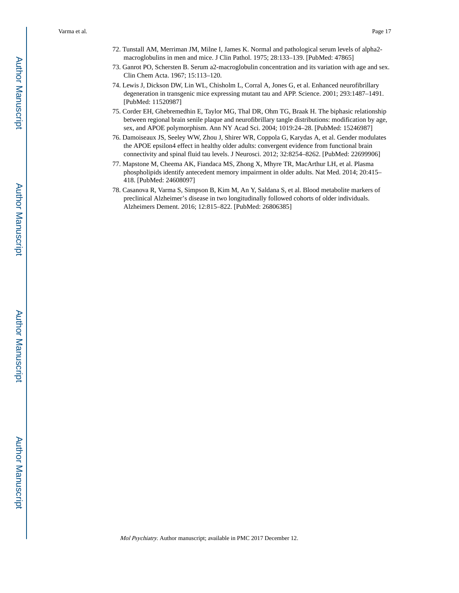- 72. Tunstall AM, Merriman JM, Milne I, James K. Normal and pathological serum levels of alpha2 macroglobulins in men and mice. J Clin Pathol. 1975; 28:133–139. [PubMed: 47865]
- 73. Ganrot PO, Schersten B. Serum a2-macroglobulin concentration and its variation with age and sex. Clin Chem Acta. 1967; 15:113–120.
- 74. Lewis J, Dickson DW, Lin WL, Chisholm L, Corral A, Jones G, et al. Enhanced neurofibrillary degeneration in transgenic mice expressing mutant tau and APP. Science. 2001; 293:1487–1491. [PubMed: 11520987]
- 75. Corder EH, Ghebremedhin E, Taylor MG, Thal DR, Ohm TG, Braak H. The biphasic relationship between regional brain senile plaque and neurofibrillary tangle distributions: modification by age, sex, and APOE polymorphism. Ann NY Acad Sci. 2004; 1019:24–28. [PubMed: 15246987]
- 76. Damoiseaux JS, Seeley WW, Zhou J, Shirer WR, Coppola G, Karydas A, et al. Gender modulates the APOE epsilon4 effect in healthy older adults: convergent evidence from functional brain connectivity and spinal fluid tau levels. J Neurosci. 2012; 32:8254–8262. [PubMed: 22699906]
- 77. Mapstone M, Cheema AK, Fiandaca MS, Zhong X, Mhyre TR, MacArthur LH, et al. Plasma phospholipids identify antecedent memory impairment in older adults. Nat Med. 2014; 20:415– 418. [PubMed: 24608097]
- 78. Casanova R, Varma S, Simpson B, Kim M, An Y, Saldana S, et al. Blood metabolite markers of preclinical Alzheimer's disease in two longitudinally followed cohorts of older individuals. Alzheimers Dement. 2016; 12:815–822. [PubMed: 26806385]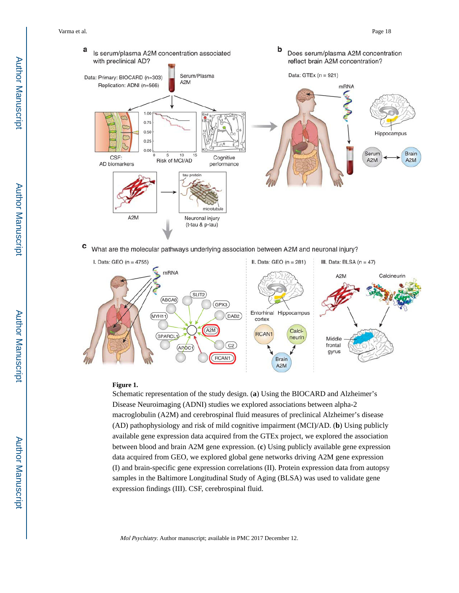

C What are the molecular pathways underlying association between A2M and neuronal injury?



#### **Figure 1.**

Schematic representation of the study design. (**a**) Using the BIOCARD and Alzheimer's Disease Neuroimaging (ADNI) studies we explored associations between alpha-2 macroglobulin (A2M) and cerebrospinal fluid measures of preclinical Alzheimer's disease (AD) pathophysiology and risk of mild cognitive impairment (MCI)/AD. (**b**) Using publicly available gene expression data acquired from the GTEx project, we explored the association between blood and brain A2M gene expression. (**c**) Using publicly available gene expression data acquired from GEO, we explored global gene networks driving A2M gene expression (I) and brain-specific gene expression correlations (II). Protein expression data from autopsy samples in the Baltimore Longitudinal Study of Aging (BLSA) was used to validate gene expression findings (III). CSF, cerebrospinal fluid.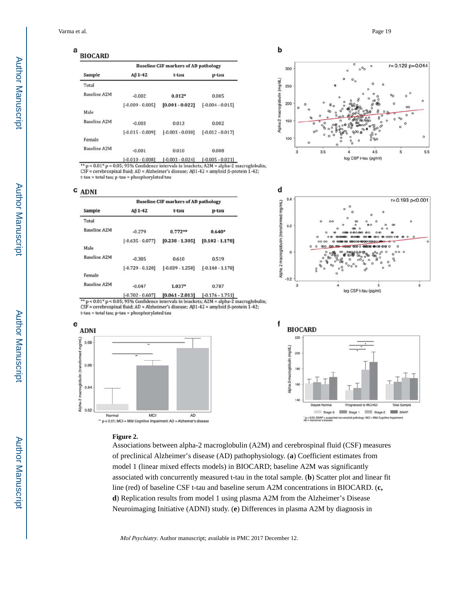#### a **RIOCARD**

|                     |                    | <b>Baseline CSF markers of AD pathology</b>              |                    |
|---------------------|--------------------|----------------------------------------------------------|--------------------|
| Sample              | $AB1-42$           | t-tau                                                    | p-tau              |
| Total               |                    |                                                          |                    |
| <b>Baseline A2M</b> | $-0.002$           | $0.012*$                                                 | 0.005              |
|                     | $[-0.009 - 0.005]$ | $[0.001 - 0.022]$                                        | $[-0.004 - 0.015]$ |
| Male                |                    |                                                          |                    |
| <b>Baseline A2M</b> | $-0.003$           | 0.013                                                    | 0.002              |
|                     | $[-0.015 - 0.009]$ | $[-0.003 - 0.030]$                                       | $[-0.012 - 0.017]$ |
| Female              |                    |                                                          |                    |
| <b>Baseline A2M</b> | $-0.001$           | 0.010                                                    | 0.008              |
|                     |                    | the contract of the contract of the contract of the con- |                    |



 $[-0.010 - 0.008]$  $[-0.003 - 0.024]$   $[-0.005 - 0.021]$ \*\* p < 0.01\* p < 0.05; 95% Confidence intervals in brackets; A2M = alpha-2 macroglobulin;  $CSF$  = cerebrospinal fluid; AD = Alzheimer's disease; A $\beta$ 1-42 = amyloid  $\beta$ -protein 1-42; t-tau = total tau; p-tau = phosphorylated tau

## c ADNI

|                     |                    | <b>Baseline CSF markers of AD pathology</b> |                    |  |  |
|---------------------|--------------------|---------------------------------------------|--------------------|--|--|
| Sample              | $AB1-42$           | $t$ -tau                                    | p-tau              |  |  |
| Total               |                    |                                             |                    |  |  |
| <b>Baseline A2M</b> | $-0.279$           | $0.772**$                                   | $0.640*$           |  |  |
|                     | $[-0.635 - 0.077]$ | $[0.238 - 1.305]$                           | $[0.102 - 1.178]$  |  |  |
| Male                |                    |                                             |                    |  |  |
| <b>Baseline A2M</b> | $-0.305$           | 0.610                                       | 0.519              |  |  |
|                     | $[-0.729 - 0.120]$ | $[-0.039 - 1.258]$                          | $[-0.140 - 1.178]$ |  |  |
| Female              |                    |                                             |                    |  |  |
| <b>Baseline A2M</b> | $-0.047$           | $1.037*$                                    | 0.787              |  |  |
|                     | $[-0.702 - 0.607]$ | $[0.061 - 2.013]$                           | $[-0.176 - 1.751]$ |  |  |



\*\*  $p < 0.01$ \*  $p < 0.05$ ; 95% Confidence intervals in brackets; A2M = alpha-2 macroglobulin;  $CSF$  = cerebrospinal fluid; AD = Alzheimer's disease; A $\beta$ 1-42 = amyloid  $\beta$ -protein 1-42; t-tau = total tau; p-tau = phosphorylated tau





#### **Figure 2.**

Associations between alpha-2 macroglobulin (A2M) and cerebrospinal fluid (CSF) measures of preclinical Alzheimer's disease (AD) pathophysiology. (**a**) Coefficient estimates from model 1 (linear mixed effects models) in BIOCARD; baseline A2M was significantly associated with concurrently measured t-tau in the total sample. (**b**) Scatter plot and linear fit line (red) of baseline CSF t-tau and baseline serum A2M concentrations in BIOCARD. (**c, d**) Replication results from model 1 using plasma A2M from the Alzheimer's Disease Neuroimaging Initiative (ADNI) study. (**e**) Differences in plasma A2M by diagnosis in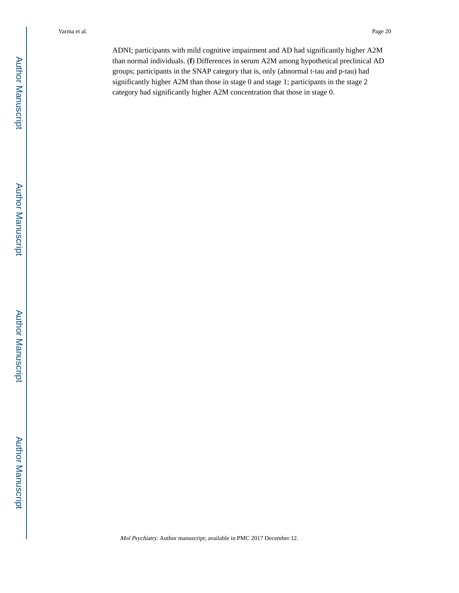ADNI; participants with mild cognitive impairment and AD had significantly higher A2M than normal individuals. (**f**) Differences in serum A2M among hypothetical preclinical AD groups; participants in the SNAP category that is, only (abnormal t-tau and p-tau) had significantly higher A2M than those in stage 0 and stage 1; participants in the stage 2 category had significantly higher A2M concentration that those in stage 0.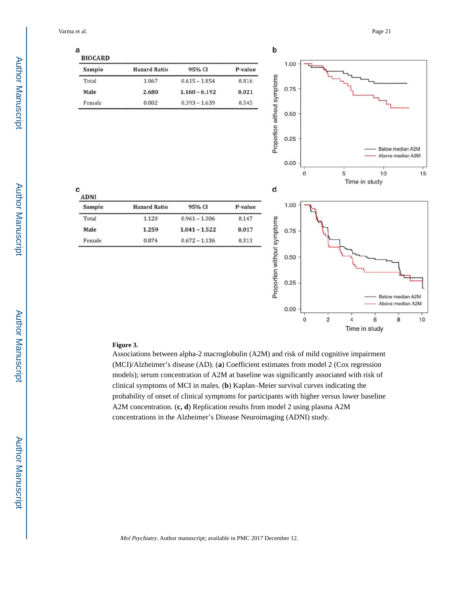$10$ 

6

Time in study

 $\overline{4}$ 

 $\bf8$ 

| Sample                | <b>Hazard Ratio</b> | 95% CI          | P-value |                             | 1.00 |                                      |
|-----------------------|---------------------|-----------------|---------|-----------------------------|------|--------------------------------------|
| Total                 | 1.067               | $0.615 - 1.854$ | 0.816   |                             |      |                                      |
| Male                  | 2.680               | $1.160 - 6.192$ | 0.021   |                             | 0.75 |                                      |
| Female<br>0.802       | $0.393 - 1.639$     | 0.545           |         |                             |      |                                      |
|                       |                     |                 |         |                             | 0.50 |                                      |
|                       |                     |                 |         | Proportion without symptoms | 0.25 |                                      |
|                       |                     |                 |         |                             | 0.00 | Below median A2M<br>Above median A2M |
|                       |                     |                 |         |                             |      |                                      |
|                       |                     |                 |         |                             |      |                                      |
|                       |                     |                 |         |                             |      | 5<br>10<br>15<br>$\circ$             |
| c                     |                     |                 |         | d                           |      | Time in study                        |
| <b>ADNI</b><br>Sample | <b>Hazard Ratio</b> | 95% CI          | P-value |                             | 1.00 |                                      |
| Total                 | 1.120               | $0.961 - 1.306$ | 0.147   |                             |      |                                      |
| Male                  | 1.259               | $1.041 - 1.522$ | 0.017   |                             | 0.75 |                                      |
| Female                | 0.874               | $0.672 - 1.136$ | 0.313   |                             |      |                                      |
|                       |                     |                 |         |                             | 0.50 |                                      |
|                       |                     |                 |         |                             |      |                                      |
|                       |                     |                 |         |                             |      |                                      |
|                       |                     |                 |         | Proportion without symptoms | 0.25 | Below median A2M                     |

#### **Figure 3.**

Associations between alpha-2 macroglobulin (A2M) and risk of mild cognitive impairment (MCI)/Alzheimer's disease (AD). (**a**) Coefficient estimates from model 2 (Cox regression models); serum concentration of A2M at baseline was significantly associated with risk of clinical symptoms of MCI in males. (**b**) Kaplan–Meier survival curves indicating the probability of onset of clinical symptoms for participants with higher versus lower baseline A2M concentration. (**c, d**) Replication results from model 2 using plasma A2M concentrations in the Alzheimer's Disease Neuroimaging (ADNI) study.

 $\ddot{\mathbf{0}}$ 

 $\overline{\mathbf{c}}$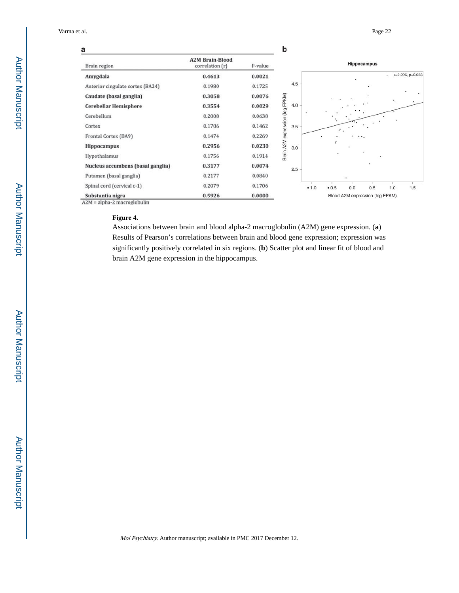| <b>Brain region</b>               | <b>A2M Brain-Blood</b><br>correlation (r) | P-value |                                        |       |               |          | Hippocampus                     |     |                    |
|-----------------------------------|-------------------------------------------|---------|----------------------------------------|-------|---------------|----------|---------------------------------|-----|--------------------|
| Amygdala                          | 0.4613                                    | 0.0021  |                                        |       |               |          |                                 | ٠   | $r=0.296, p=0.023$ |
| Anterior cingulate cortex (BA24)  | 0.1980                                    | 0.1725  | 4.5                                    |       |               |          |                                 |     |                    |
| Caudate (basal ganglia)           | 0.3058                                    | 0.0076  |                                        |       |               |          |                                 |     | ٠<br>٠             |
| <b>Cerebellar Hemisphere</b>      | 0.3554                                    | 0.0029  | 4.0                                    |       |               |          |                                 | ٠.  |                    |
| Cerebellum                        | 0.2008                                    | 0.0638  |                                        | ٠     |               |          |                                 |     |                    |
| Cortex                            | 0.1706                                    | 0.1462  | Brain A2M expression (log FPKM)<br>3.5 |       | $\mathcal{L}$ |          |                                 |     |                    |
| Frontal Cortex (BA9)              | 0.1474                                    | 0.2269  |                                        |       |               | $\cdots$ |                                 |     |                    |
| <b>Hippocampus</b>                | 0.2956                                    | 0.0230  | 3.0                                    |       |               |          |                                 |     |                    |
| Hypothalamus                      | 0.1756                                    | 0.1914  |                                        |       |               |          |                                 |     |                    |
| Nucleus accumbens (basal ganglia) | 0.3177                                    | 0.0074  | 2.5                                    |       |               |          |                                 |     |                    |
| Putamen (basal ganglia)           | 0.2177                                    | 0.0840  |                                        |       |               |          |                                 |     |                    |
| Spinal cord (cervical c-1)        | 0.2079                                    | 0.1706  |                                        | • 1.0 | • 0.5         | 0.0      | 0.5                             | 1.0 | 1.5                |
| Substantia nigra                  | 0.5926                                    | 0.0000  |                                        |       |               |          | Blood A2M expression (log FPKM) |     |                    |

#### **Figure 4.**

Associations between brain and blood alpha-2 macroglobulin (A2M) gene expression. (**a**) Results of Pearson's correlations between brain and blood gene expression; expression was significantly positively correlated in six regions. (**b**) Scatter plot and linear fit of blood and brain A2M gene expression in the hippocampus.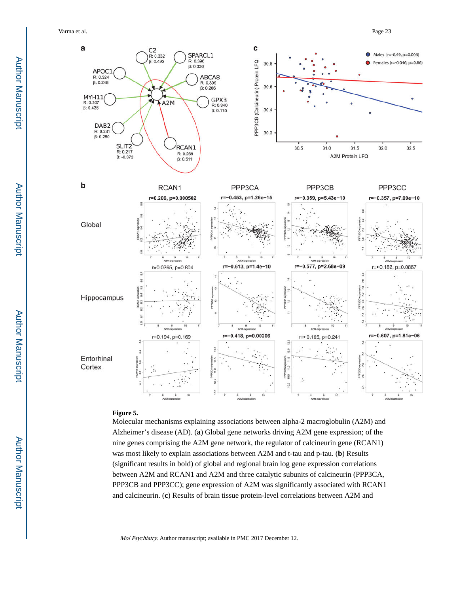

## **Figure 5.**

Molecular mechanisms explaining associations between alpha-2 macroglobulin (A2M) and Alzheimer's disease (AD). (**a**) Global gene networks driving A2M gene expression; of the nine genes comprising the A2M gene network, the regulator of calcineurin gene (RCAN1) was most likely to explain associations between A2M and t-tau and p-tau. (**b**) Results (significant results in bold) of global and regional brain log gene expression correlations between A2M and RCAN1 and A2M and three catalytic subunits of calcineurin (PPP3CA, PPP3CB and PPP3CC); gene expression of A2M was significantly associated with RCAN1 and calcineurin. (**c**) Results of brain tissue protein-level correlations between A2M and